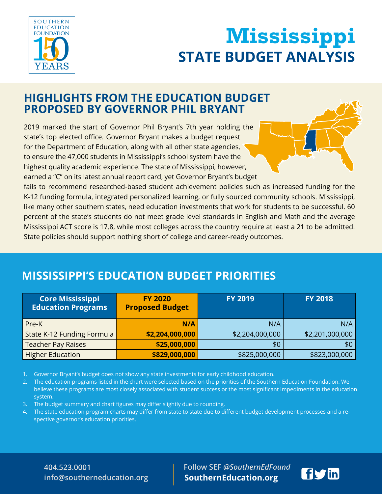

# **STATE BUDGET ANALYSIS Wississippi INITIATIVE STATE BUDGET ANALYSIS Mississippi**

## **HIGHLIGHTS FROM THE EDUCATION BUDGET PROPOSED BY GOVERNOR PHIL BRYANT**

2019 marked the start of Governor Phil Bryant's 7th year holding the state's top elected office. Governor Bryant makes a budget request for the Department of Education, along with all other state agencies, to ensure the 47,000 students in Mississippi's school system have the highest quality academic experience. The state of Mississippi, however, earned a "C" on its latest annual report card, yet Governor Bryant's budget

fails to recommend researched-based student achievement policies such as increased funding for the K-12 funding formula, integrated personalized learning, or fully sourced community schools. Mississippi, like many other southern states, need education investments that work for students to be successful. 60 percent of the state's students do not meet grade level standards in English and Math and the average Mississippi ACT score is 17.8, while most colleges across the country require at least a 21 to be admitted. State policies should support nothing short of college and career-ready outcomes.

## **MISSISSIPPI'S EDUCATION BUDGET PRIORITIES**

| <b>Core Mississippi</b><br><b>Education Programs</b> | <b>FY 2020</b><br><b>Proposed Budget</b> | <b>FY 2019</b>  | <b>FY 2018</b>  |
|------------------------------------------------------|------------------------------------------|-----------------|-----------------|
| Pre-K                                                | N/A                                      | N/A             | N/A             |
| State K-12 Funding Formula                           | \$2,204,000,000                          | \$2,204,000,000 | \$2,201,000,000 |
| <b>Teacher Pay Raises</b>                            | \$25,000,000                             | \$0             | \$0             |
| <b>Higher Education</b>                              | \$829,000,000                            | \$825,000,000   | \$823,000,000   |

1. Governor Bryant's budget does not show any state investments for early childhood education.

2. The education programs listed in the chart were selected based on the priorities of the Southern Education Foundation. We believe these programs are most closely associated with student success or the most significant impediments in the education system.

- 3. The budget summary and chart figures may differ slightly due to rounding.
- 4. The state education program charts may differ from state to state due to different budget development processes and a respective governor's education priorities.

### **404.523.0001 info@southerneducation.org**

 **Follow SEF** *@SouthernEdFound* **SouthernEducation.org**